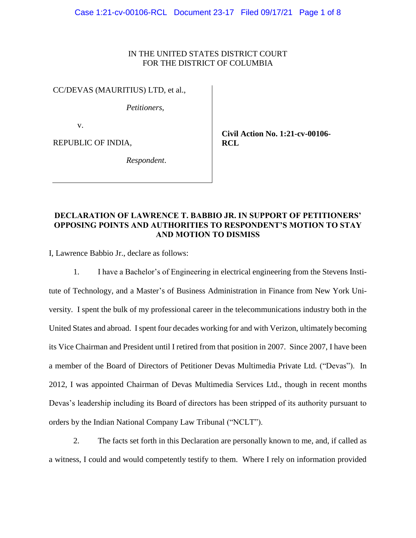### IN THE UNITED STATES DISTRICT COURT FOR THE DISTRICT OF COLUMBIA

CC/DEVAS (MAURITIUS) LTD, et al.,

*Petitioners*,

v.

REPUBLIC OF INDIA,

**Civil Action No. 1:21-cv-00106- RCL**

*Respondent*.

## **DECLARATION OF LAWRENCE T. BABBIO JR. IN SUPPORT OF PETITIONERS' OPPOSING POINTS AND AUTHORITIES TO RESPONDENT'S MOTION TO STAY AND MOTION TO DISMISS**

I, Lawrence Babbio Jr., declare as follows:

1. I have a Bachelor's of Engineering in electrical engineering from the Stevens Institute of Technology, and a Master's of Business Administration in Finance from New York University. I spent the bulk of my professional career in the telecommunications industry both in the United States and abroad. I spent four decades working for and with Verizon, ultimately becoming its Vice Chairman and President until I retired from that position in 2007. Since 2007, I have been a member of the Board of Directors of Petitioner Devas Multimedia Private Ltd. ("Devas"). In 2012, I was appointed Chairman of Devas Multimedia Services Ltd., though in recent months Devas's leadership including its Board of directors has been stripped of its authority pursuant to orders by the Indian National Company Law Tribunal ("NCLT").

2. The facts set forth in this Declaration are personally known to me, and, if called as a witness, I could and would competently testify to them. Where I rely on information provided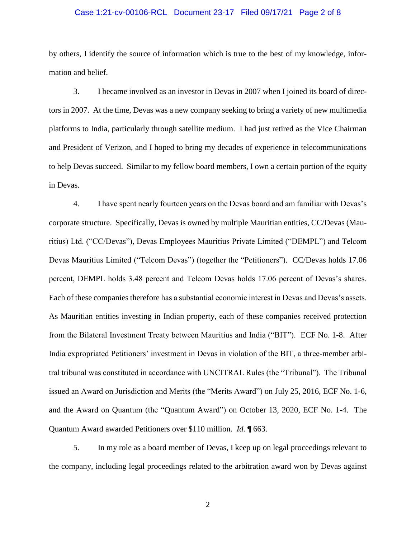#### Case 1:21-cv-00106-RCL Document 23-17 Filed 09/17/21 Page 2 of 8

by others, I identify the source of information which is true to the best of my knowledge, information and belief.

3. I became involved as an investor in Devas in 2007 when I joined its board of directors in 2007. At the time, Devas was a new company seeking to bring a variety of new multimedia platforms to India, particularly through satellite medium. I had just retired as the Vice Chairman and President of Verizon, and I hoped to bring my decades of experience in telecommunications to help Devas succeed. Similar to my fellow board members, I own a certain portion of the equity in Devas.

4. I have spent nearly fourteen years on the Devas board and am familiar with Devas's corporate structure. Specifically, Devas is owned by multiple Mauritian entities, CC/Devas (Mauritius) Ltd. ("CC/Devas"), Devas Employees Mauritius Private Limited ("DEMPL") and Telcom Devas Mauritius Limited ("Telcom Devas") (together the "Petitioners"). CC/Devas holds 17.06 percent, DEMPL holds 3.48 percent and Telcom Devas holds 17.06 percent of Devas's shares. Each of these companies therefore has a substantial economic interest in Devas and Devas's assets. As Mauritian entities investing in Indian property, each of these companies received protection from the Bilateral Investment Treaty between Mauritius and India ("BIT"). ECF No. 1-8. After India expropriated Petitioners' investment in Devas in violation of the BIT, a three-member arbitral tribunal was constituted in accordance with UNCITRAL Rules (the "Tribunal"). The Tribunal issued an Award on Jurisdiction and Merits (the "Merits Award") on July 25, 2016, ECF No. 1-6, and the Award on Quantum (the "Quantum Award") on October 13, 2020, ECF No. 1-4. The Quantum Award awarded Petitioners over \$110 million. *Id.* ¶ 663.

5. In my role as a board member of Devas, I keep up on legal proceedings relevant to the company, including legal proceedings related to the arbitration award won by Devas against

2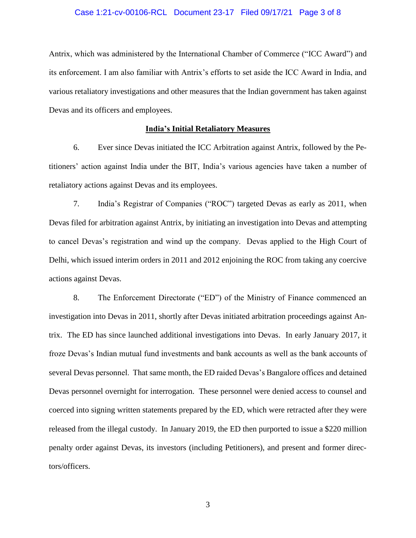#### Case 1:21-cv-00106-RCL Document 23-17 Filed 09/17/21 Page 3 of 8

Antrix, which was administered by the International Chamber of Commerce ("ICC Award") and its enforcement. I am also familiar with Antrix's efforts to set aside the ICC Award in India, and various retaliatory investigations and other measures that the Indian government has taken against Devas and its officers and employees.

#### **India's Initial Retaliatory Measures**

6. Ever since Devas initiated the ICC Arbitration against Antrix, followed by the Petitioners' action against India under the BIT, India's various agencies have taken a number of retaliatory actions against Devas and its employees.

7. India's Registrar of Companies ("ROC") targeted Devas as early as 2011, when Devas filed for arbitration against Antrix, by initiating an investigation into Devas and attempting to cancel Devas's registration and wind up the company. Devas applied to the High Court of Delhi, which issued interim orders in 2011 and 2012 enjoining the ROC from taking any coercive actions against Devas.

8. The Enforcement Directorate ("ED") of the Ministry of Finance commenced an investigation into Devas in 2011, shortly after Devas initiated arbitration proceedings against Antrix. The ED has since launched additional investigations into Devas. In early January 2017, it froze Devas's Indian mutual fund investments and bank accounts as well as the bank accounts of several Devas personnel. That same month, the ED raided Devas's Bangalore offices and detained Devas personnel overnight for interrogation. These personnel were denied access to counsel and coerced into signing written statements prepared by the ED, which were retracted after they were released from the illegal custody. In January 2019, the ED then purported to issue a \$220 million penalty order against Devas, its investors (including Petitioners), and present and former directors/officers.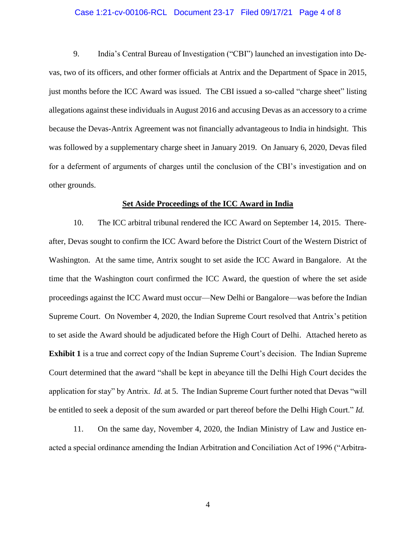#### Case 1:21-cv-00106-RCL Document 23-17 Filed 09/17/21 Page 4 of 8

9. India's Central Bureau of Investigation ("CBI") launched an investigation into Devas, two of its officers, and other former officials at Antrix and the Department of Space in 2015, just months before the ICC Award was issued. The CBI issued a so-called "charge sheet" listing allegations against these individuals in August 2016 and accusing Devas as an accessory to a crime because the Devas-Antrix Agreement was not financially advantageous to India in hindsight. This was followed by a supplementary charge sheet in January 2019. On January 6, 2020, Devas filed for a deferment of arguments of charges until the conclusion of the CBI's investigation and on other grounds.

#### **Set Aside Proceedings of the ICC Award in India**

10. The ICC arbitral tribunal rendered the ICC Award on September 14, 2015. Thereafter, Devas sought to confirm the ICC Award before the District Court of the Western District of Washington. At the same time, Antrix sought to set aside the ICC Award in Bangalore. At the time that the Washington court confirmed the ICC Award, the question of where the set aside proceedings against the ICC Award must occur—New Delhi or Bangalore—was before the Indian Supreme Court. On November 4, 2020, the Indian Supreme Court resolved that Antrix's petition to set aside the Award should be adjudicated before the High Court of Delhi. Attached hereto as **Exhibit 1** is a true and correct copy of the Indian Supreme Court's decision. The Indian Supreme Court determined that the award "shall be kept in abeyance till the Delhi High Court decides the application for stay" by Antrix. *Id.* at 5. The Indian Supreme Court further noted that Devas "will be entitled to seek a deposit of the sum awarded or part thereof before the Delhi High Court." *Id.*

11. On the same day, November 4, 2020, the Indian Ministry of Law and Justice enacted a special ordinance amending the Indian Arbitration and Conciliation Act of 1996 ("Arbitra-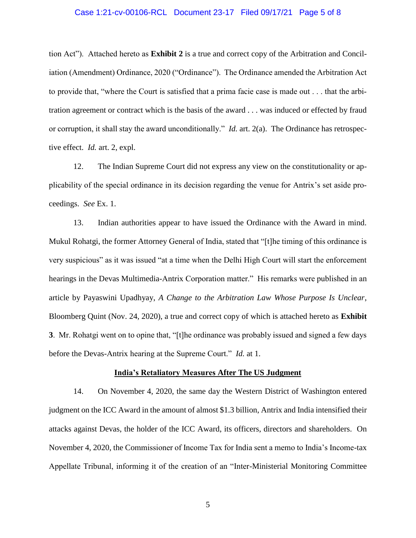#### Case 1:21-cv-00106-RCL Document 23-17 Filed 09/17/21 Page 5 of 8

tion Act"). Attached hereto as **Exhibit 2** is a true and correct copy of the Arbitration and Conciliation (Amendment) Ordinance, 2020 ("Ordinance"). The Ordinance amended the Arbitration Act to provide that, "where the Court is satisfied that a prima facie case is made out . . . that the arbitration agreement or contract which is the basis of the award . . . was induced or effected by fraud or corruption, it shall stay the award unconditionally." *Id.* art. 2(a). The Ordinance has retrospective effect. *Id.* art. 2, expl.

12. The Indian Supreme Court did not express any view on the constitutionality or applicability of the special ordinance in its decision regarding the venue for Antrix's set aside proceedings. *See* Ex. 1.

13. Indian authorities appear to have issued the Ordinance with the Award in mind. Mukul Rohatgi, the former Attorney General of India, stated that "[t]he timing of this ordinance is very suspicious" as it was issued "at a time when the Delhi High Court will start the enforcement hearings in the Devas Multimedia-Antrix Corporation matter." His remarks were published in an article by Payaswini Upadhyay, *A Change to the Arbitration Law Whose Purpose Is Unclear*, Bloomberg Quint (Nov. 24, 2020), a true and correct copy of which is attached hereto as **Exhibit 3**. Mr. Rohatgi went on to opine that, "[t]he ordinance was probably issued and signed a few days before the Devas-Antrix hearing at the Supreme Court." *Id.* at 1.

#### **India's Retaliatory Measures After The US Judgment**

14. On November 4, 2020, the same day the Western District of Washington entered judgment on the ICC Award in the amount of almost \$1.3 billion, Antrix and India intensified their attacks against Devas, the holder of the ICC Award, its officers, directors and shareholders. On November 4, 2020, the Commissioner of Income Tax for India sent a memo to India's Income-tax Appellate Tribunal, informing it of the creation of an "Inter-Ministerial Monitoring Committee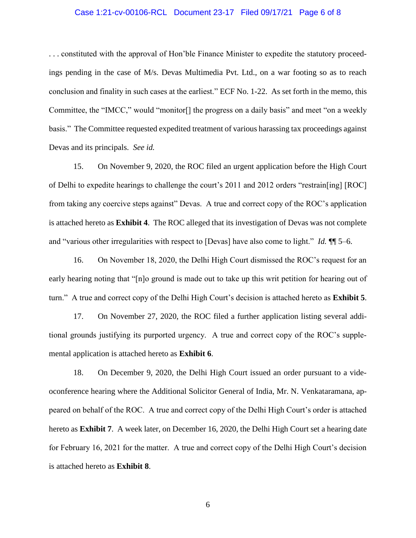#### Case 1:21-cv-00106-RCL Document 23-17 Filed 09/17/21 Page 6 of 8

. . . constituted with the approval of Hon'ble Finance Minister to expedite the statutory proceedings pending in the case of M/s. Devas Multimedia Pvt. Ltd., on a war footing so as to reach conclusion and finality in such cases at the earliest." ECF No. 1-22. As set forth in the memo, this Committee, the "IMCC," would "monitor[] the progress on a daily basis" and meet "on a weekly basis." The Committee requested expedited treatment of various harassing tax proceedings against Devas and its principals. *See id.*

15. On November 9, 2020, the ROC filed an urgent application before the High Court of Delhi to expedite hearings to challenge the court's 2011 and 2012 orders "restrain[ing] [ROC] from taking any coercive steps against" Devas. A true and correct copy of the ROC's application is attached hereto as **Exhibit 4**. The ROC alleged that its investigation of Devas was not complete and "various other irregularities with respect to [Devas] have also come to light." *Id.* ¶¶ 5–6.

16. On November 18, 2020, the Delhi High Court dismissed the ROC's request for an early hearing noting that "[n]o ground is made out to take up this writ petition for hearing out of turn." A true and correct copy of the Delhi High Court's decision is attached hereto as **Exhibit 5**.

17. On November 27, 2020, the ROC filed a further application listing several additional grounds justifying its purported urgency. A true and correct copy of the ROC's supplemental application is attached hereto as **Exhibit 6**.

18. On December 9, 2020, the Delhi High Court issued an order pursuant to a videoconference hearing where the Additional Solicitor General of India, Mr. N. Venkataramana, appeared on behalf of the ROC. A true and correct copy of the Delhi High Court's order is attached hereto as **Exhibit 7**. A week later, on December 16, 2020, the Delhi High Court set a hearing date for February 16, 2021 for the matter. A true and correct copy of the Delhi High Court's decision is attached hereto as **Exhibit 8**.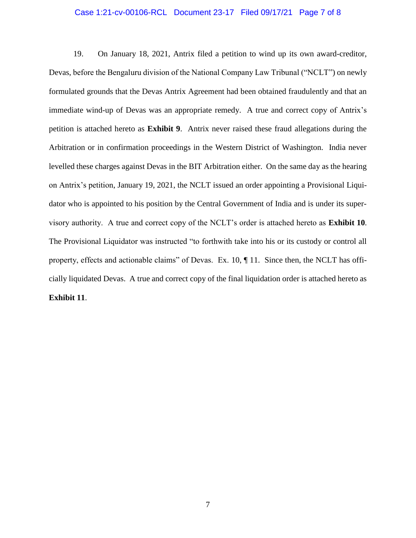#### Case 1:21-cv-00106-RCL Document 23-17 Filed 09/17/21 Page 7 of 8

19. On January 18, 2021, Antrix filed a petition to wind up its own award-creditor, Devas, before the Bengaluru division of the National Company Law Tribunal ("NCLT") on newly formulated grounds that the Devas Antrix Agreement had been obtained fraudulently and that an immediate wind-up of Devas was an appropriate remedy. A true and correct copy of Antrix's petition is attached hereto as **Exhibit 9**. Antrix never raised these fraud allegations during the Arbitration or in confirmation proceedings in the Western District of Washington. India never levelled these charges against Devas in the BIT Arbitration either. On the same day as the hearing on Antrix's petition, January 19, 2021, the NCLT issued an order appointing a Provisional Liquidator who is appointed to his position by the Central Government of India and is under its supervisory authority. A true and correct copy of the NCLT's order is attached hereto as **Exhibit 10**. The Provisional Liquidator was instructed "to forthwith take into his or its custody or control all property, effects and actionable claims" of Devas. Ex. 10,  $\P$  11. Since then, the NCLT has officially liquidated Devas. A true and correct copy of the final liquidation order is attached hereto as **Exhibit 11**.